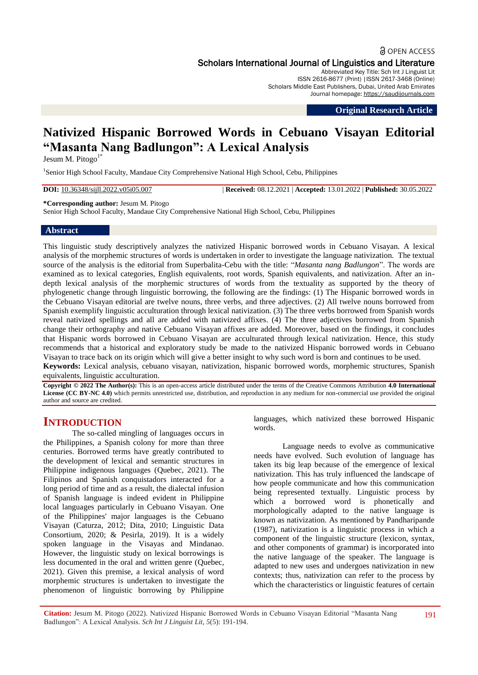## **a** OPEN ACCESS Scholars International Journal of Linguistics and Literature

Abbreviated Key Title: Sch Int J Linguist Lit ISSN 2616-8677 (Print) |ISSN 2617-3468 (Online) Scholars Middle East Publishers, Dubai, United Arab Emirates Journal homepage: https://saudijournals.com

**Original Research Article**

# **Nativized Hispanic Borrowed Words in Cebuano Visayan Editorial "Masanta Nang Badlungon": A Lexical Analysis**

Jesum M. Pitogo $1^*$ 

<sup>1</sup>Senior High School Faculty, Mandaue City Comprehensive National High School, Cebu, Philippines

**DOI:** 10.36348/sijll.2022.v05i05.007 | **Received:** 08.12.2021 | **Accepted:** 13.01.2022 | **Published:** 30.05.2022

**\*Corresponding author:** Jesum M. Pitogo

Senior High School Faculty, Mandaue City Comprehensive National High School, Cebu, Philippines

#### **Abstract**

This linguistic study descriptively analyzes the nativized Hispanic borrowed words in Cebuano Visayan. A lexical analysis of the morphemic structures of words is undertaken in order to investigate the language nativization. The textual source of the analysis is the editorial from Superbalita-Cebu with the title: "*Masanta nang Badlungon*". The words are examined as to lexical categories, English equivalents, root words, Spanish equivalents, and nativization. After an indepth lexical analysis of the morphemic structures of words from the textuality as supported by the theory of phylogenetic change through linguistic borrowing, the following are the findings: (1) The Hispanic borrowed words in the Cebuano Visayan editorial are twelve nouns, three verbs, and three adjectives. (2) All twelve nouns borrowed from Spanish exemplify linguistic acculturation through lexical nativization. (3) The three verbs borrowed from Spanish words reveal nativized spellings and all are added with nativized affixes. (4) The three adjectives borrowed from Spanish change their orthography and native Cebuano Visayan affixes are added. Moreover, based on the findings, it concludes that Hispanic words borrowed in Cebuano Visayan are acculturated through lexical nativization. Hence, this study recommends that a historical and exploratory study be made to the nativized Hispanic borrowed words in Cebuano Visayan to trace back on its origin which will give a better insight to why such word is born and continues to be used. **Keywords:** Lexical analysis, cebuano visayan, nativization, hispanic borrowed words, morphemic structures, Spanish equivalents, linguistic acculturation.

**Copyright © 2022 The Author(s):** This is an open-access article distributed under the terms of the Creative Commons Attribution **4.0 International License (CC BY-NC 4.0)** which permits unrestricted use, distribution, and reproduction in any medium for non-commercial use provided the original author and source are credited.

# **INTRODUCTION**

The so-called mingling of languages occurs in the Philippines, a Spanish colony for more than three centuries. Borrowed terms have greatly contributed to the development of lexical and semantic structures in Philippine indigenous languages (Quebec, 2021). The Filipinos and Spanish conquistadors interacted for a long period of time and as a result, the dialectal infusion of Spanish language is indeed evident in Philippine local languages particularly in Cebuano Visayan. One of the Philippines' major languages is the Cebuano Visayan (Caturza, 2012; Dita, 2010; Linguistic Data Consortium, 2020; & Pesirla, 2019). It is a widely spoken language in the Visayas and Mindanao. However, the linguistic study on lexical borrowings is less documented in the oral and written genre (Quebec, 2021). Given this premise, a lexical analysis of word morphemic structures is undertaken to investigate the phenomenon of linguistic borrowing by Philippine

languages, which nativized these borrowed Hispanic words.

Language needs to evolve as communicative needs have evolved. Such evolution of language has taken its big leap because of the emergence of lexical nativization. This has truly influenced the landscape of how people communicate and how this communication being represented textually. Linguistic process by which a borrowed word is phonetically and morphologically adapted to the native language is known as nativization. As mentioned by Pandharipande (1987), nativization is a linguistic process in which a component of the linguistic structure (lexicon, syntax, and other components of grammar) is incorporated into the native language of the speaker. The language is adapted to new uses and undergoes nativization in new contexts; thus, nativization can refer to the process by which the characteristics or linguistic features of certain

**Citation:** Jesum M. Pitogo (2022). Nativized Hispanic Borrowed Words in Cebuano Visayan Editorial "Masanta Nang Badlungon": A Lexical Analysis. *Sch Int J Linguist Lit, 5*(5): 191-194.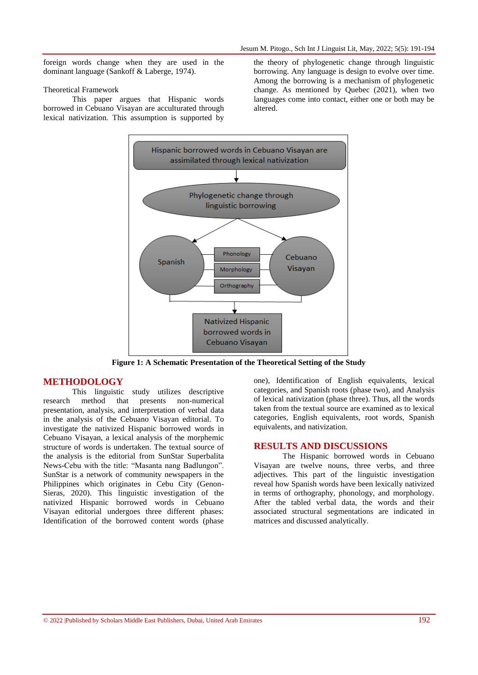foreign words change when they are used in the dominant language (Sankoff & Laberge, 1974).

#### Theoretical Framework

This paper argues that Hispanic words borrowed in Cebuano Visayan are acculturated through lexical nativization. This assumption is supported by

the theory of phylogenetic change through linguistic borrowing. Any language is design to evolve over time. Among the borrowing is a mechanism of phylogenetic change. As mentioned by Quebec (2021), when two languages come into contact, either one or both may be altered.



**Figure 1: A Schematic Presentation of the Theoretical Setting of the Study**

### **METHODOLOGY**

This linguistic study utilizes descriptive research method that presents non-numerical presentation, analysis, and interpretation of verbal data in the analysis of the Cebuano Visayan editorial. To investigate the nativized Hispanic borrowed words in Cebuano Visayan, a lexical analysis of the morphemic structure of words is undertaken. The textual source of the analysis is the editorial from SunStar Superbalita News-Cebu with the title: "Masanta nang Badlungon". SunStar is a network of community newspapers in the Philippines which originates in Cebu City (Genon-Sieras, 2020). This linguistic investigation of the nativized Hispanic borrowed words in Cebuano Visayan editorial undergoes three different phases: Identification of the borrowed content words (phase

one), Identification of English equivalents, lexical categories, and Spanish roots (phase two), and Analysis of lexical nativization (phase three). Thus, all the words taken from the textual source are examined as to lexical categories, English equivalents, root words, Spanish equivalents, and nativization.

## **RESULTS AND DISCUSSIONS**

The Hispanic borrowed words in Cebuano Visayan are twelve nouns, three verbs, and three adjectives. This part of the linguistic investigation reveal how Spanish words have been lexically nativized in terms of orthography, phonology, and morphology. After the tabled verbal data, the words and their associated structural segmentations are indicated in matrices and discussed analytically.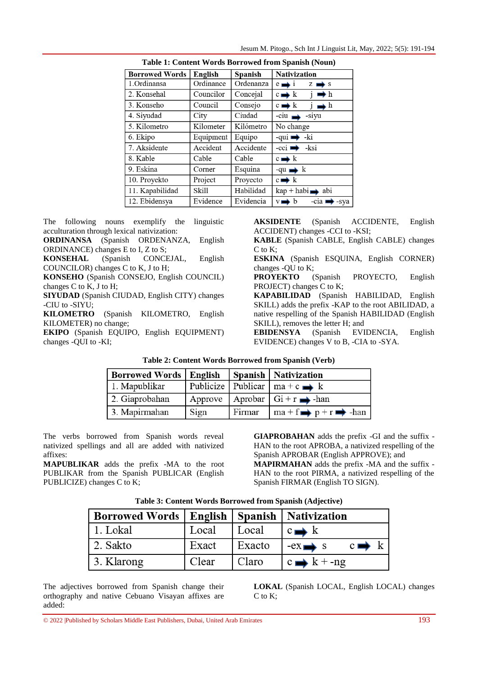| <b>Borrowed Words</b> | English   | Spanish   | <b>Nativization</b>                               |
|-----------------------|-----------|-----------|---------------------------------------------------|
| 1.Ordinansa           | Ordinance | Ordenanza | $e \rightarrow i$<br>$Z \rightarrow$ s            |
| 2. Konsehal           | Councilor | Concejal  | $c \rightarrow k$ $i \rightarrow h$               |
| 3. Konseho            | Council   | Consejo   | $c \rightarrow k$<br>$j \rightarrow h$            |
| 4. Siyudad            | City      | Ciudad    | $-ciu \rightarrow -siyu$                          |
| 5. Kilometro          | Kilometer | Kilómetro | No change                                         |
| 6. Ekipo              | Equipment | Equipo    | $-qui \rightarrow k$                              |
| 7. Aksidente          | Accident  | Accidente | $-cci \rightarrow -ksi$                           |
| 8. Kable              | Cable     | Cable     | $c \rightarrow k$                                 |
| 9. Eskina             | Corner    | Esquina   | $-qu \rightarrow k$                               |
| 10. Proyekto          | Project   | Proyecto  | $c \rightarrow k$                                 |
| 11. Kapabilidad       | Skill     | Habilidad | $\text{kap} + \text{habi} \rightarrow \text{abi}$ |
| 12. Ebidensya         | Evidence  | Evidencia | $-cia \rightarrow -sya$<br>$v \rightarrow b$      |
|                       |           |           |                                                   |

The following nouns exemplify the linguistic acculturation through lexical nativization:

**ORDINANSA** (Spanish ORDENANZA, English ORDINANCE) changes E to I, Z to S;

**KONSEHAL** (Spanish CONCEJAL, English COUNCILOR) changes C to K, J to H;

**KONSEHO** (Spanish CONSEJO, English COUNCIL) changes C to K, J to H;

**SIYUDAD** (Spanish CIUDAD, English CITY) changes -CIU to -SIYU;

**KILOMETRO** (Spanish KILOMETRO, English KILOMETER) no change;

**EKIPO** (Spanish EQUIPO, English EQUIPMENT) changes -QUI to -KI;

**AKSIDENTE** (Spanish ACCIDENTE, English ACCIDENT) changes -CCI to -KSI;

**KABLE** (Spanish CABLE, English CABLE) changes C to K;

**ESKINA** (Spanish ESQUINA, English CORNER) changes -QU to K;

**PROYEKTO** (Spanish PROYECTO, English PROJECT) changes C to K;

**KAPABILIDAD** (Spanish HABILIDAD, English SKILL) adds the prefix -KAP to the root ABILIDAD, a native respelling of the Spanish HABILIDAD (English SKILL), removes the letter H; and

**EBIDENSYA** (Spanish EVIDENCIA, English EVIDENCE) changes V to B, -CIA to -SYA.

| <b>Borrowed Words   English</b> |      |        | <b>Spanish   Nativization</b>                   |
|---------------------------------|------|--------|-------------------------------------------------|
| 1. Mapublikar                   |      |        | Publicize   Publicar   ma + c $\rightarrow k$   |
| 2. Giaprobahan                  |      |        | Approve   Aprobar   $Gi + r \rightarrow -han$   |
| 3. Mapirmahan                   | Sign | Firmar | $\ln a + f \rightarrow p + r \rightarrow -h$ an |

**Table 2: Content Words Borrowed from Spanish (Verb)**

The verbs borrowed from Spanish words reveal nativized spellings and all are added with nativized affixes:

**MAPUBLIKAR** adds the prefix -MA to the root PUBLIKAR from the Spanish PUBLICAR (English PUBLICIZE) changes C to K;

**GIAPROBAHAN** adds the prefix -GI and the suffix - HAN to the root APROBA, a nativized respelling of the Spanish APROBAR (English APPROVE); and **MAPIRMAHAN** adds the prefix -MA and the suffix - HAN to the root PIRMA, a nativized respelling of the Spanish FIRMAR (English TO SIGN).

|  |  |  |  |  |  | Table 3: Content Words Borrowed from Spanish (Adjective) |  |
|--|--|--|--|--|--|----------------------------------------------------------|--|
|--|--|--|--|--|--|----------------------------------------------------------|--|

| Borrowed Words   English   Spanish   Nativization |       |        |                                          |
|---------------------------------------------------|-------|--------|------------------------------------------|
| 1. Lokal                                          | Local | Local  | $c \rightarrow k$                        |
| 2. Sakto                                          | Exact | Exacto | $c \rightarrow k$<br>$-ex \rightarrow s$ |
| 3. Klarong                                        | Clear | Claro  | $c \rightarrow k + -ng$                  |

The adjectives borrowed from Spanish change their orthography and native Cebuano Visayan affixes are added:

**LOKAL** (Spanish LOCAL, English LOCAL) changes C to K;